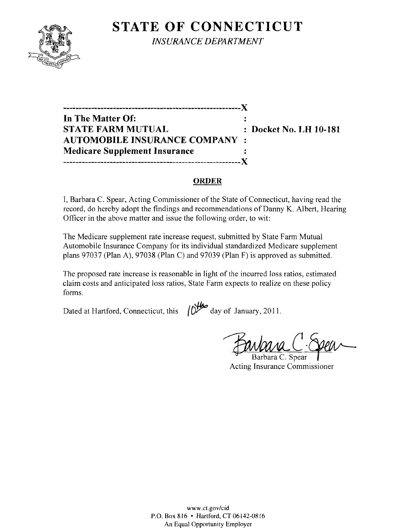## **STATE OF CONNECTICUT**



*INSURANCE DEPARTMENT* 

**---------------------------------------------------------)( In The Matter Of:**   $\ddot{\cdot}$ **STATE FARM MUTUAL Docket No. LH 10-181 AUTOMOBILE INSURANCE COMPANY Medicare Supplement Insurance ---------------------------------------------------------)(** 

#### **ORDER**

I, Barbara C. Spear, Acting Commissioner of the State of Connecticut, having read the record, do hereby adopt the findings and recommendations of Danny K. Albert, Hearing Officer in the above matter and issue the following order, to wit:

The Medicare supplement rate increase request, submitted by State Farm Mutual Automobile Insurance Company for its individual standardized Medicare supplement plans 97037 (Plan A), 97038 (Plan C) and 97039 (Plan F) is approved as submitted.

The proposed rate increase is reasonable in light of the incurred loss ratios, estimated claim costs and anticipated loss ratios, State Farm expects to realize on these policy forms.

Dated at Hartford, Connecticut, this  $\sqrt{O^{4}}$  day of January, 2011.

Barbara C. Spear Acting Insurance Commissioner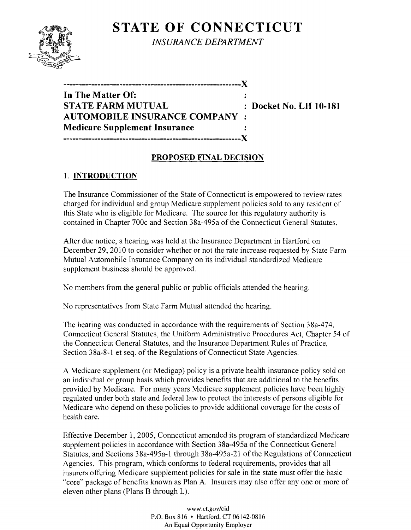# **STATE OF CONNECTICUT**



*INSURANCE DEPARTMENT* 

| In The Matter Of:                     |                        |
|---------------------------------------|------------------------|
| STATE FARM MUTUAL                     | : Docket No. LH 10-181 |
| <b>AUTOMOBILE INSURANCE COMPANY :</b> |                        |
| <b>Medicare Supplement Insurance</b>  |                        |
|                                       |                        |

### **PROPOSED FINAL DECISION**

### 1. **INTRODUCTION**

The Insurance Commissioner of the State of Connecticut is empowered to review rates charged for individual and group Medicare supplement policies sold to any resident of this State who is eligible for Medicare. The source for this regulatory authority is contained in Chapter 700c and Section 38a-495a of the Connecticut General Statutes.

After due notice, a hearing was held at the Insurance Department in Hartford on December 29, 2010 to consider whether or not the rate increase requested by State Farm Mutual Automobile Insurance Company on its individual standardized Medicare supplement business should be approved.

No members from the general public or public officials attended the hearing.

No representatives from State Farm Mutual attended the hearing.

The hearing was conducted in accordance with the requirements of Section 38a-474, Connecticut General Statutes, the Uniform Administrative Procedures Act, Chapter 54 of the Connecticut General Statutes, and the Insurance Department Rules of Practice, Section 38a-8-1 et seq. of the Regulations of Connecticut State Agencies.

A Medicare supplement (or Medigap) policy is a private health insurance policy sold on an individual or group basis which provides benefits that are additional to the benefits provided by Medicare. For many years Medicare supplement policies have been highly regulated under both state and federal law to protect the interests of persons eligible for Medicare who depend on these policies to provide additional coverage for the costs of health care.

Effective December 1, 2005, Connecticut amended its program of standardized Medicare supplement policies in accordance with Section 38a-495a of the Connecticut General Statutes, and Sections 38a-495a-1 through 38a-495a-21 of the Regulations of Connecticut Agencies. This program, which conforms to federal requirements, provides that all insurers offering Medicare supplement policies for sale in the state must offer the basic "core" package of benefits known as Plan A. Insurers may also offer anyone or more of eleven other plans (Plans B through L).

> www.ct.gov/cid P.O. Box 816 • Hartford. CT 06142-0816 An Equal Opportunity Employer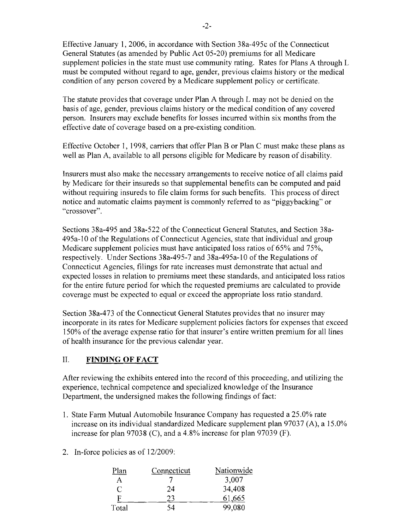Effective January 1,2006, in accordance with Section 38a-495c of the Connecticut General Statutes (as amended by Public Act 05-20) premiums for all Medicare supplement policies in the state must use community rating. Rates for Plans A through L must be computed without regard to age, gender, previous claims history or the medical condition of any person covered by a Medicare supplement policy or certificate.

The statute provides that coverage under Plan A through L may not be denied on the basis of age, gender, previous claims history or the medical condition of any covered person. Insurers may exclude benefits for losses incurred within six months from the effective date of coverage based on a pre-existing condition.

Effective October 1, 1998, carriers that offer Plan B or Plan C must make these plans as well as Plan A, available to all persons eligible for Medicare by reason of disability.

Insurers must also make the necessary arrangements to receive notice of all claims paid by Medicare for their insureds so that supplemental benefits can be computed and paid without requiring insureds to file claim forms for such benefits. This process of direct notice and automatic claims payment is commonly referred to as "piggybacking" or "crossover".

Sections 38a-495 and 38a-522 of the Connecticut General Statutes, and Section 38a-495a-l0 of the Regulations of Connecticut Agencies, state that individual and group Medicare supplement policies must have anticipated loss ratios of 65% and 75%, respectively. Under Sections 38a-495-7 and 38a-495a-l0 of the Regulations of Connecticut Agencies, filings for rate increases must demonstrate that actual and expected losses in relation to premiums meet these standards, and anticipated loss ratios for the entire future period for which the requested premiums are calculated to provide coverage must be expected to equal or exceed the appropriate loss ratio standard.

Section 38a-473 of the Connecticut General Statutes provides that no insurer may incorporate in its rates for Medicare supplement policies factors for expenses that exceed 150% of the average expense ratio for that insurer's entire written premium for all lines of health insurance for the previous calendar year.

### II. **FINDING OF FACT**

After reviewing the exhibits entered into the record of this proceeding, and utilizing the experience, technical competence and specialized knowledge of the Insurance Department, the undersigned makes the following findings of fact:

- 1. State Farm Mutual Automobile Insurance Company has requested a 25.0% rate increase on its individual standardized Medicare supplement plan 97037 (A), a 15.0% increase for plan 97038 (C), and a 4.8% increase for plan 97039 (F).
- 2. In-force policies as of 12/2009:

| Plan  | Connecticut | Nationwide |
|-------|-------------|------------|
|       |             | 3,007      |
| C     | 24          | 34,408     |
| F     | 23          | 61,665     |
| Total | 54          | 99,080     |